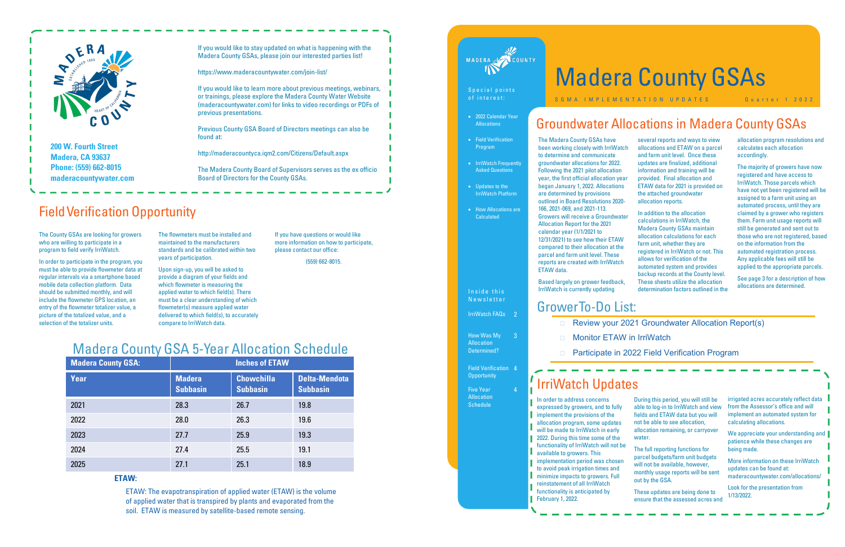

**Madera, CA 93637 Phone: (559) 662-8015 maderacountywater.com** If you would like to stay updated on what is happening with the Madera County GSAs, please join our interested parties list!

https://www.maderacountywater.com/join-list/

If you would like to learn more about previous meetings, webinars, or trainings, please explore the Madera County Water Website (maderacountywater.com) for links to video recordings or PDFs of previous presentations.

Previous County GSA Board of Directors meetings can also be found at:

http://maderacountyca.iqm2.com/Citizens/Default.aspx

The Madera County Board of Supervisors serves as the ex officio Board of Directors for the County GSAs.

| <b>Madera County GSA:</b> | <b>Inches of ETAW</b>            |                                      |                                         |
|---------------------------|----------------------------------|--------------------------------------|-----------------------------------------|
| <b>Year</b>               | <b>Madera</b><br><b>Subbasin</b> | <b>Chowchilla</b><br><b>Subbasin</b> | <b>Delta-Mendota</b><br><b>Subbasin</b> |
| 2021                      | 28.3                             | 26.7                                 | 19.8                                    |
| 2022                      | 28.0                             | 26.3                                 | 19.6                                    |
| 2023                      | 27.7                             | 25.9                                 | 19.3                                    |
| 2024                      | 27.4                             | 25.5                                 | 19.1                                    |
| 2025                      | 27.1                             | 25.1                                 | 18.9                                    |

## **ETAW:**

ETAW: The evapotranspiration of applied water (ETAW) is the volume of applied water that is transpired by plants and evaporated from the soil. ETAW is measured by satellite-based remote sensing.



## S p e c i a l p o i n t s of interest:

# Madera County GSA 5-Year Allocation Schedule

The flowmeters must be installed and maintained to the manufacturers standards and be calibrated within two years of participation.

Upon sign-up, you will be asked to provide a diagram of your fields and which flowmeter is measuring the applied water to which field(s). There must be a clear understanding of which flowmeter(s) measure applied water delivered to which field(s), to accurately compare to IrriWatch data.

The County GSAs are looking for growers who are willing to participate in a program to field verify IrriWatch.

In order to participate in the program, you must be able to provide flowmeter data at regular intervals via a smartphone based mobile data collection platform. Data should be submitted monthly, and will include the flowmeter GPS location, an entry of the flowmeter totalizer value, a picture of the totalized value, and a selection of the totalizer units.

If you have questions or would like more information on how to participate, please contact our office:

> Field Verification 4 **Opportunity**

Five Year **Allocation Schedule** 

(559) 662-8015.

## Field Verification Opportunity

allocation program resolutions and calculates each allocation accordingly.

## • 2022 Calendar Year **Allocations**

- Field Verification Program
- IrriWatch Frequently Asked Questions
- Updates to the IrriWatch Platform
- How Allocations are **Calculated**

Inside this N e w s l e t t e r

IrriWatch FAQs 2

The majority of growers have now registered and have access to IrriWatch. Those parcels which have not yet been registered will be assigned to a farm unit using an automated process, until they are claimed by a grower who registers them. Farm unit usage reports will still be generated and sent out to those who are not registered, based on the information from the automated registration process. Any applicable fees will still be applied to the appropriate parcels.

See page 3 for a description of how allocations are determined.

## □ Review your 2021 Groundwater Allocation Report(s)

We appreciate your understanding and patience while these changes are being made.

The Madera County GSAs have been working closely with IrriWat to determine and communicate groundwater allocations for 2022. Following the 2021 pilot allocation year, the first official allocation ye began January 1, 2022. Allocation are determined by provisions outlined in Board Resolutions 202 166, 2021-069, and 2021-113. Growers will receive a Groundwa Allocation Report for the 2021 calendar year (1/1/2021 to 12/31/2021) to see how their ETAV compared to their allocation at the parcel and farm unit level. These reports are created with IrriWatcl ETAW data.

Based largely on grower feedback, IrriWatch is currently updating

|     | several reports and ways to view     |
|-----|--------------------------------------|
| tch | allocations and ETAW on a parcel     |
|     | and farm unit level. Once these      |
|     | updates are finalized, additional    |
|     | information and training will be     |
| ar  | provided. Final allocation and       |
| S   | ETAW data for 2021 is provided on    |
|     | the attached groundwater             |
| O-  | allocation reports.                  |
|     | In addition to the allocation        |
| ter | calculations in IrriWatch, the       |
|     | <b>Madera County GSAs maintain</b>   |
| V   | allocation calculations for each     |
| ė   | farm unit, whether they are          |
|     | registered in IrriWatch or not. This |
| h   | allows for verification of the       |
|     | automated system and provides        |
|     | backup records at the County level.  |
| k.  | These sheets utilize the allocation  |

determination factors outlined in the

# Groundwater Allocations in Madera County GSAs

How Was My Allocation Determined?

4

# Madera County GSAs

S G M A I M P L E M E N T A T I O N U P D A T E S A U Q U A T E R T 1 2022

# IrriWatch Updates

In order to address concerns expressed by growers, and to fully implement the provisions of the allocation program, some updates will be made to IrriWatch in early 2022. During this time some of the functionality of IrriWatch will not be available to growers. This implementation period was chosen to avoid peak irrigation times and minimize impacts to growers. Full reinstatement of all IrriWatch functionality is anticipated by February 1, 2022.

|   | During this period, you will still be<br>able to log-in to IrriWatch and view<br>fields and ETAW data but you will<br>not be able to see allocation,<br>allocation remaining, or carryover |
|---|--------------------------------------------------------------------------------------------------------------------------------------------------------------------------------------------|
| e | water.<br>The full reporting functions for                                                                                                                                                 |
|   | $\mathbf{r}$ , and $\mathbf{r}$ , and $\mathbf{r}$ , and $\mathbf{r}$ , and $\mathbf{r}$ , and $\mathbf{r}$ , and $\mathbf{r}$                                                             |

parcel budgets/farm unit budgets will not be available, however, monthly usage reports will be sent out by the GSA.

These updates are being done to ensure that the assessed acres and irrigated acres accurately reflect data from the Assessor's office and will implement an automated system for calculating allocations.

More information on these IrriWatch updates can be found at: maderacountywater.com/allocations/

Look for the presentation from 1/13/2022.

# Grower To-Do List:

- 
- Monitor ETAW in IrriWatch
- 

Participate in 2022 Field Verification Program